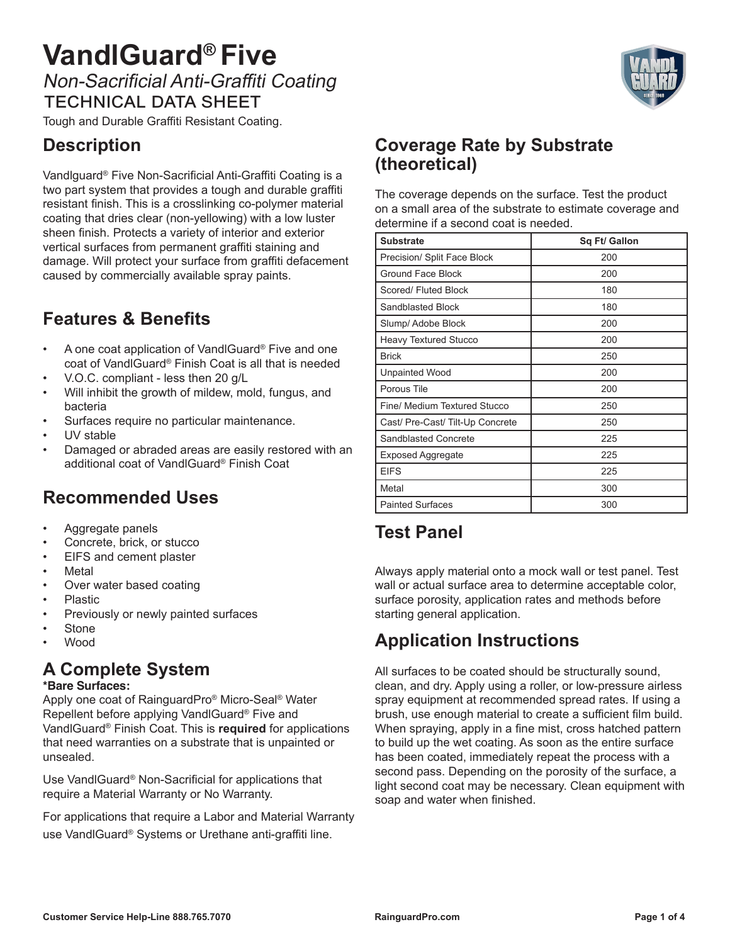# **VandlGuard® Five** Non-Sacrificial Anti-Graffiti Coating technical data sheet

Tough and Durable Graffiti Resistant Coating.

## **Description**

Vandlguard® Five Non-Sacrificial Anti-Graffiti Coating is a two part system that provides a tough and durable graffiti resistant finish. This is a crosslinking co-polymer material coating that dries clear (non-yellowing) with a low luster sheen finish. Protects a variety of interior and exterior vertical surfaces from permanent graffiti staining and damage. Will protect your surface from graffiti defacement caused by commercially available spray paints.

## **Features & Benefits**

- A one coat application of VandlGuard® Five and one coat of VandlGuard® Finish Coat is all that is needed
- V.O.C. compliant less then 20 g/L
- Will inhibit the growth of mildew, mold, fungus, and bacteria
- Surfaces require no particular maintenance.
- UV stable
- Damaged or abraded areas are easily restored with an additional coat of VandlGuard® Finish Coat

## **Recommended Uses**

- Aggregate panels
- Concrete, brick, or stucco
- EIFS and cement plaster
- Metal
- Over water based coating
- Plastic
- Previously or newly painted surfaces
- **Stone**
- Wood

### **A Complete System**

#### **\*Bare Surfaces:**

Apply one coat of RainguardPro® Micro-Seal® Water Repellent before applying VandlGuard® Five and VandlGuard® Finish Coat. This is **required** for applications that need warranties on a substrate that is unpainted or unsealed.

Use VandlGuard® Non-Sacrificial for applications that require a Material Warranty or No Warranty.

For applications that require a Labor and Material Warranty use VandlGuard® Systems or Urethane anti-graffiti line.

#### **Coverage Rate by Substrate (theoretical)**

The coverage depends on the surface. Test the product on a small area of the substrate to estimate coverage and determine if a second coat is needed.

| <b>Substrate</b>                 | Sq Ft/ Gallon |
|----------------------------------|---------------|
| Precision/ Split Face Block      | 200           |
| <b>Ground Face Block</b>         | 200           |
| Scored/ Fluted Block             | 180           |
| Sandblasted Block                | 180           |
| Slump/ Adobe Block               | 200           |
| <b>Heavy Textured Stucco</b>     | 200           |
| <b>Brick</b>                     | 250           |
| <b>Unpainted Wood</b>            | 200           |
| Porous Tile                      | 200           |
| Fine/ Medium Textured Stucco     | 250           |
| Cast/ Pre-Cast/ Tilt-Up Concrete | 250           |
| Sandblasted Concrete             | 225           |
| <b>Exposed Aggregate</b>         | 225           |
| <b>EIFS</b>                      | 225           |
| Metal                            | 300           |
| <b>Painted Surfaces</b>          | 300           |

## **Test Panel**

Always apply material onto a mock wall or test panel. Test wall or actual surface area to determine acceptable color, surface porosity, application rates and methods before starting general application.

# **Application Instructions**

All surfaces to be coated should be structurally sound, clean, and dry. Apply using a roller, or low-pressure airless spray equipment at recommended spread rates. If using a brush, use enough material to create a sufficient film build. When spraying, apply in a fine mist, cross hatched pattern to build up the wet coating. As soon as the entire surface has been coated, immediately repeat the process with a second pass. Depending on the porosity of the surface, a light second coat may be necessary. Clean equipment with soap and water when finished.

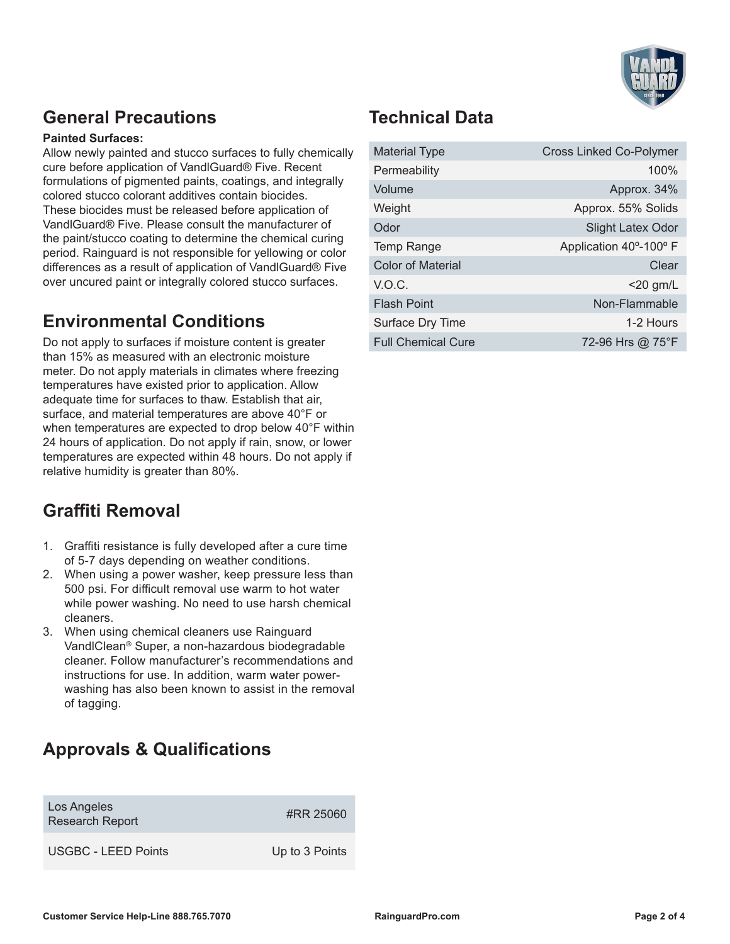

### **General Precautions**

#### **Painted Surfaces:**

Allow newly painted and stucco surfaces to fully chemically cure before application of VandlGuard® Five. Recent formulations of pigmented paints, coatings, and integrally colored stucco colorant additives contain biocides. These biocides must be released before application of VandlGuard® Five. Please consult the manufacturer of the paint/stucco coating to determine the chemical curing period. Rainguard is not responsible for yellowing or color differences as a result of application of VandlGuard® Five over uncured paint or integrally colored stucco surfaces.

#### **Environmental Conditions**

Do not apply to surfaces if moisture content is greater than 15% as measured with an electronic moisture meter. Do not apply materials in climates where freezing temperatures have existed prior to application. Allow adequate time for surfaces to thaw. Establish that air, surface, and material temperatures are above 40°F or when temperatures are expected to drop below 40°F within 24 hours of application. Do not apply if rain, snow, or lower temperatures are expected within 48 hours. Do not apply if relative humidity is greater than 80%.

### **Graffiti Removal**

- 1. Graffiti resistance is fully developed after a cure time of 5-7 days depending on weather conditions.
- 2. When using a power washer, keep pressure less than 500 psi. For difficult removal use warm to hot water while power washing. No need to use harsh chemical cleaners.
- 3. When using chemical cleaners use Rainguard VandlClean® Super, a non-hazardous biodegradable cleaner. Follow manufacturer's recommendations and instructions for use. In addition, warm water powerwashing has also been known to assist in the removal of tagging.

## **Approvals & Qualifications**

| Los Angeles<br><b>Research Report</b> | #RR 25060      |
|---------------------------------------|----------------|
| <b>USGBC - LEED Points</b>            | Up to 3 Points |

### **Technical Data**

| <b>Material Type</b>      | <b>Cross Linked Co-Polymer</b> |
|---------------------------|--------------------------------|
| Permeability              | 100%                           |
| Volume                    | Approx. 34%                    |
| Weight                    | Approx. 55% Solids             |
| Odor                      | <b>Slight Latex Odor</b>       |
| <b>Temp Range</b>         | Application 40°-100° F         |
| <b>Color of Material</b>  | Clear                          |
| V.O.C.                    | $<$ 20 gm/L                    |
| <b>Flash Point</b>        | Non-Flammable                  |
| Surface Dry Time          | 1-2 Hours                      |
| <b>Full Chemical Cure</b> | 72-96 Hrs @ 75°F               |